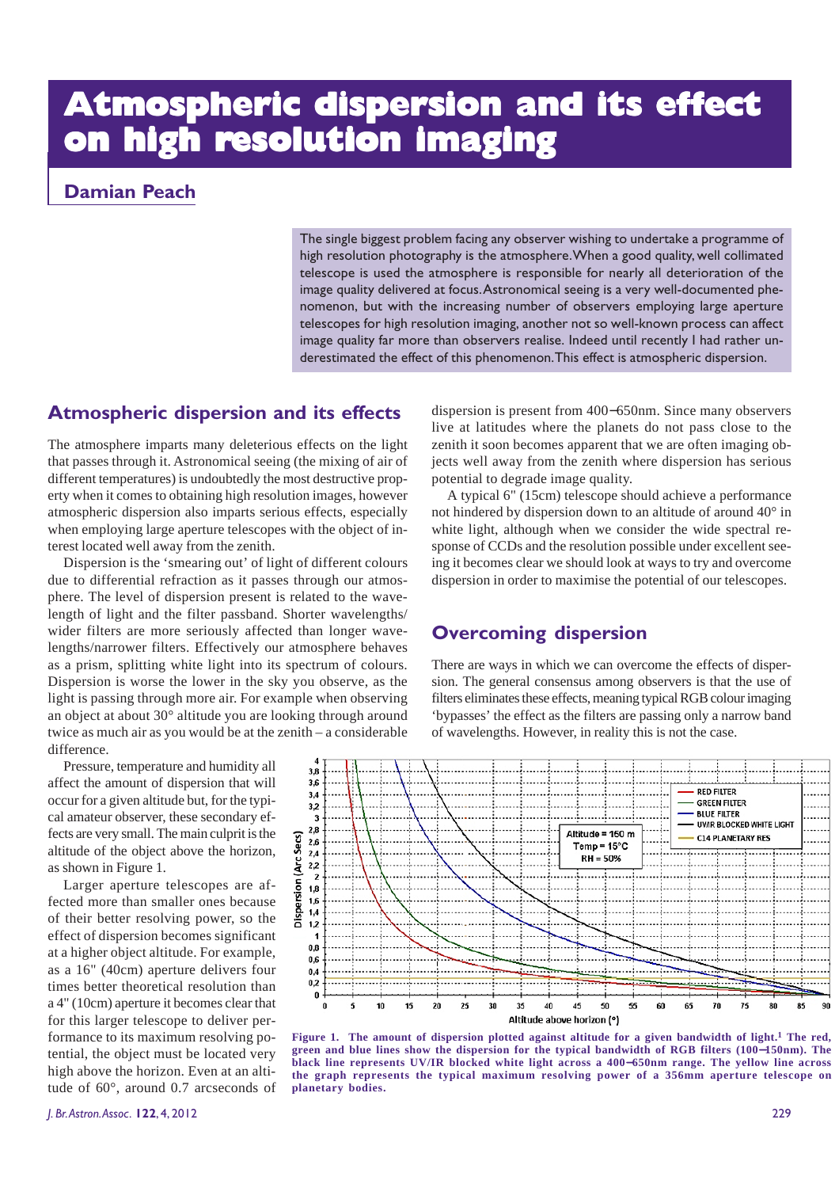# **Atmospheric dispersion and its effect Atmospheric dispersion and its effect on high resolution imaging**

#### **Damian Peach**

The single biggest problem facing any observer wishing to undertake a programme of high resolution photography is the atmosphere. When a good quality, well collimated telescope is used the atmosphere is responsible for nearly all deterioration of the image quality delivered at focus. Astronomical seeing is a very well-documented phenomenon, but with the increasing number of observers employing large aperture telescopes for high resolution imaging, another not so well-known process can affect image quality far more than observers realise. Indeed until recently I had rather underestimated the effect of this phenomenon. This effect is atmospheric dispersion.

#### **Atmospheric dispersion and its effects**

The atmosphere imparts many deleterious effects on the light that passes through it. Astronomical seeing (the mixing of air of different temperatures) is undoubtedly the most destructive property when it comes to obtaining high resolution images, however atmospheric dispersion also imparts serious effects, especially when employing large aperture telescopes with the object of interest located well away from the zenith.

Dispersion is the 'smearing out' of light of different colours due to differential refraction as it passes through our atmosphere. The level of dispersion present is related to the wavelength of light and the filter passband. Shorter wavelengths/ wider filters are more seriously affected than longer wavelengths/narrower filters. Effectively our atmosphere behaves as a prism, splitting white light into its spectrum of colours. Dispersion is worse the lower in the sky you observe, as the light is passing through more air. For example when observing an object at about 30° altitude you are looking through around twice as much air as you would be at the zenith – a considerable difference.

Pressure, temperature and humidity all affect the amount of dispersion that will occur for a given altitude but, for the typical amateur observer, these secondary effects are very small. The main culprit is the altitude of the object above the horizon, as shown in Figure 1.

Larger aperture telescopes are affected more than smaller ones because of their better resolving power, so the effect of dispersion becomes significant at a higher object altitude. For example, as a 16" (40cm) aperture delivers four times better theoretical resolution than a 4" (10cm) aperture it becomes clear that for this larger telescope to deliver performance to its maximum resolving potential, the object must be located very high above the horizon. Even at an altitude of 60°, around 0.7 arcseconds of dispersion is present from 400−650nm. Since many observers live at latitudes where the planets do not pass close to the zenith it soon becomes apparent that we are often imaging objects well away from the zenith where dispersion has serious potential to degrade image quality.

A typical 6" (15cm) telescope should achieve a performance not hindered by dispersion down to an altitude of around 40° in white light, although when we consider the wide spectral response of CCDs and the resolution possible under excellent seeing it becomes clear we should look at ways to try and overcome dispersion in order to maximise the potential of our telescopes.

#### **Overcoming dispersion**

There are ways in which we can overcome the effects of dispersion. The general consensus among observers is that the use of filters eliminates these effects, meaning typical RGB colour imaging 'bypasses' the effect as the filters are passing only a narrow band of wavelengths. However, in reality this is not the case.



**Figure 1. The amount of dispersion plotted against altitude for a given bandwidth of light.1 The red, green and blue lines show the dispersion for the typical bandwidth of RGB filters (100**−**150nm). The black line represents UV/IR blocked white light across a 400**−**650nm range. The yellow line across the graph represents the typical maximum resolving power of a 356mm aperture telescope on planetary bodies.**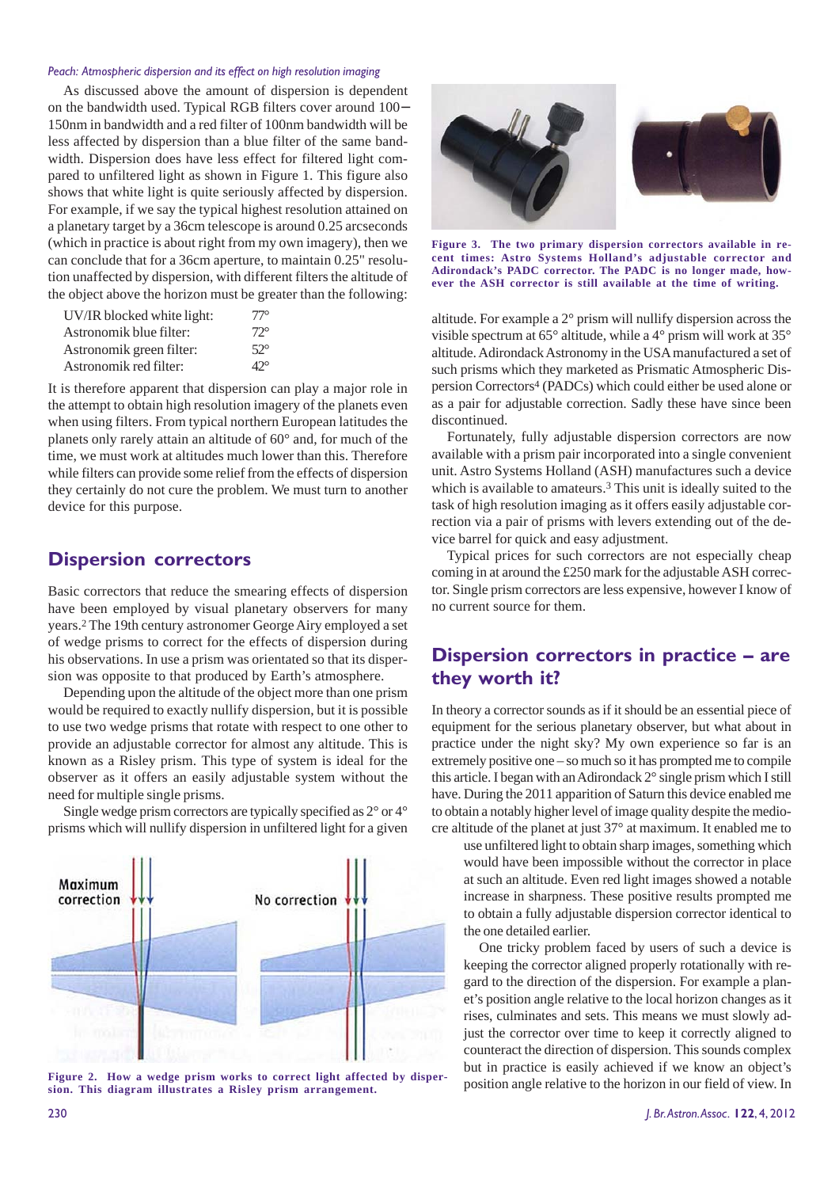#### *Peach: Atmospheric dispersion and its effect on high resolution imaging*

As discussed above the amount of dispersion is dependent on the bandwidth used. Typical RGB filters cover around 100− 150nm in bandwidth and a red filter of 100nm bandwidth will be less affected by dispersion than a blue filter of the same bandwidth. Dispersion does have less effect for filtered light compared to unfiltered light as shown in Figure 1. This figure also shows that white light is quite seriously affected by dispersion. For example, if we say the typical highest resolution attained on a planetary target by a 36cm telescope is around 0.25 arcseconds (which in practice is about right from my own imagery), then we can conclude that for a 36cm aperture, to maintain 0.25" resolution unaffected by dispersion, with different filters the altitude of the object above the horizon must be greater than the following:

| UV/IR blocked white light: | $77^\circ$   |
|----------------------------|--------------|
| Astronomik blue filter:    | $72^{\circ}$ |
| Astronomik green filter:   | $52^\circ$   |
| Astronomik red filter:     | $42^\circ$   |

It is therefore apparent that dispersion can play a major role in the attempt to obtain high resolution imagery of the planets even when using filters. From typical northern European latitudes the planets only rarely attain an altitude of 60° and, for much of the time, we must work at altitudes much lower than this. Therefore while filters can provide some relief from the effects of dispersion they certainly do not cure the problem. We must turn to another device for this purpose.

#### **Dispersion correctors**

Basic correctors that reduce the smearing effects of dispersion have been employed by visual planetary observers for many years.2 The 19th century astronomer George Airy employed a set of wedge prisms to correct for the effects of dispersion during his observations. In use a prism was orientated so that its dispersion was opposite to that produced by Earth's atmosphere.

Depending upon the altitude of the object more than one prism would be required to exactly nullify dispersion, but it is possible to use two wedge prisms that rotate with respect to one other to provide an adjustable corrector for almost any altitude. This is known as a Risley prism. This type of system is ideal for the observer as it offers an easily adjustable system without the need for multiple single prisms.

Single wedge prism correctors are typically specified as 2° or 4° prisms which will nullify dispersion in unfiltered light for a given



**Figure 2. How a wedge prism works to correct light affected by dispersion. This diagram illustrates a Risley prism arrangement.**



**Figure 3. The two primary dispersion correctors available in recent times: Astro Systems Holland's adjustable corrector and Adirondack's PADC corrector. The PADC is no longer made, however the ASH corrector is still available at the time of writing.**

altitude. For example a 2° prism will nullify dispersion across the visible spectrum at 65° altitude, while a 4° prism will work at 35° altitude. Adirondack Astronomy in the USA manufactured a set of such prisms which they marketed as Prismatic Atmospheric Dispersion Correctors4 (PADCs) which could either be used alone or as a pair for adjustable correction. Sadly these have since been discontinued.

Fortunately, fully adjustable dispersion correctors are now available with a prism pair incorporated into a single convenient unit. Astro Systems Holland (ASH) manufactures such a device which is available to amateurs.3 This unit is ideally suited to the task of high resolution imaging as it offers easily adjustable correction via a pair of prisms with levers extending out of the device barrel for quick and easy adjustment.

Typical prices for such correctors are not especially cheap coming in at around the £250 mark for the adjustable ASH corrector. Single prism correctors are less expensive, however I know of no current source for them.

#### **Dispersion correctors in practice – are they worth it?**

In theory a corrector sounds as if it should be an essential piece of equipment for the serious planetary observer, but what about in practice under the night sky? My own experience so far is an extremely positive one – so much so it has prompted me to compile this article. I began with an Adirondack 2° single prism which I still have. During the 2011 apparition of Saturn this device enabled me to obtain a notably higher level of image quality despite the mediocre altitude of the planet at just 37° at maximum. It enabled me to

use unfiltered light to obtain sharp images, something which would have been impossible without the corrector in place at such an altitude. Even red light images showed a notable increase in sharpness. These positive results prompted me to obtain a fully adjustable dispersion corrector identical to the one detailed earlier.

One tricky problem faced by users of such a device is keeping the corrector aligned properly rotationally with regard to the direction of the dispersion. For example a planet's position angle relative to the local horizon changes as it rises, culminates and sets. This means we must slowly adjust the corrector over time to keep it correctly aligned to counteract the direction of dispersion. This sounds complex but in practice is easily achieved if we know an object's position angle relative to the horizon in our field of view. In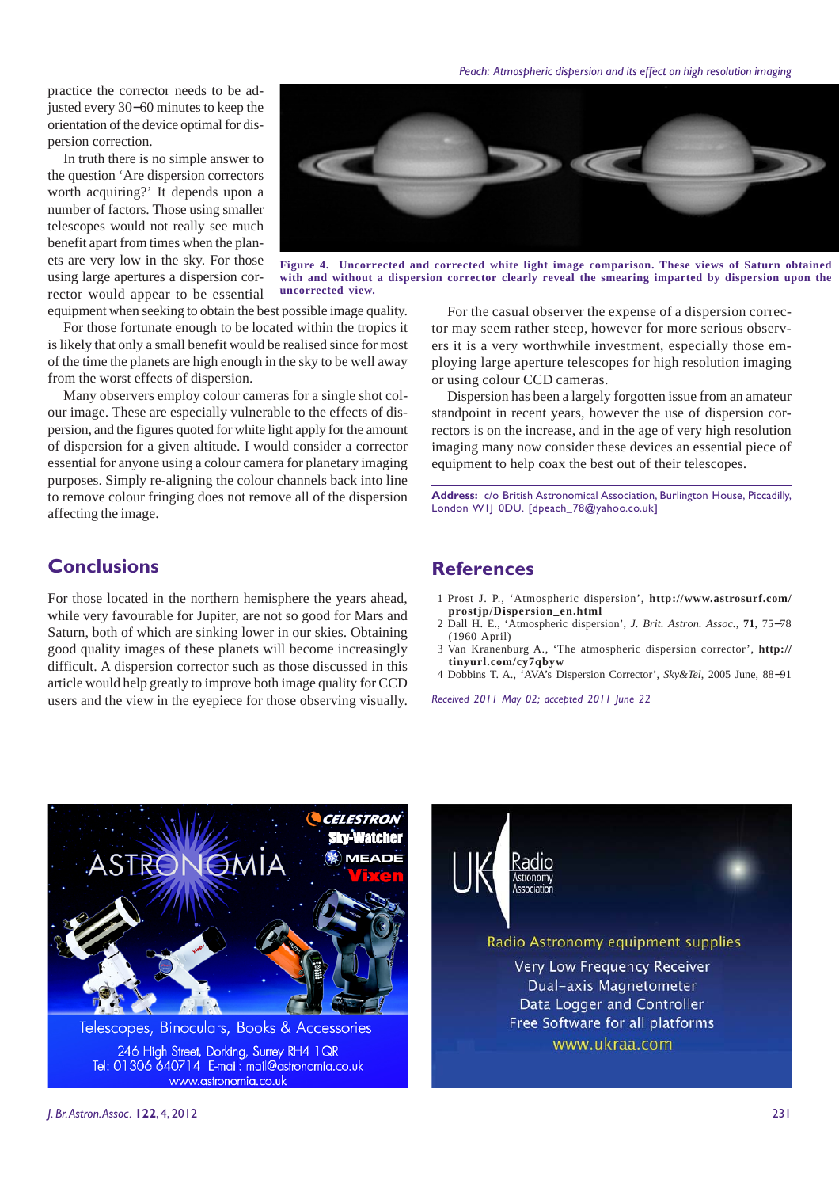*Peach: Atmospheric dispersion and its effect on high resolution imaging*

practice the corrector needs to be adjusted every 30−60 minutes to keep the orientation of the device optimal for dispersion correction.

In truth there is no simple answer to the question 'Are dispersion correctors worth acquiring?' It depends upon a number of factors. Those using smaller telescopes would not really see much benefit apart from times when the planets are very low in the sky. For those using large apertures a dispersion corrector would appear to be essential



**Figure 4. Uncorrected and corrected white light image comparison. These views of Saturn obtained with and without a dispersion corrector clearly reveal the smearing imparted by dispersion upon the uncorrected view.**

equipment when seeking to obtain the best possible image quality.

For those fortunate enough to be located within the tropics it is likely that only a small benefit would be realised since for most of the time the planets are high enough in the sky to be well away from the worst effects of dispersion.

Many observers employ colour cameras for a single shot colour image. These are especially vulnerable to the effects of dispersion, and the figures quoted for white light apply for the amount of dispersion for a given altitude. I would consider a corrector essential for anyone using a colour camera for planetary imaging purposes. Simply re-aligning the colour channels back into line to remove colour fringing does not remove all of the dispersion affecting the image.

#### **Conclusions**

For those located in the northern hemisphere the years ahead, while very favourable for Jupiter, are not so good for Mars and Saturn, both of which are sinking lower in our skies. Obtaining good quality images of these planets will become increasingly difficult. A dispersion corrector such as those discussed in this article would help greatly to improve both image quality for CCD users and the view in the eyepiece for those observing visually.

For the casual observer the expense of a dispersion corrector may seem rather steep, however for more serious observers it is a very worthwhile investment, especially those employing large aperture telescopes for high resolution imaging or using colour CCD cameras.

Dispersion has been a largely forgotten issue from an amateur standpoint in recent years, however the use of dispersion correctors is on the increase, and in the age of very high resolution imaging many now consider these devices an essential piece of equipment to help coax the best out of their telescopes.

**Address:** c/o British Astronomical Association, Burlington House, Piccadilly, London W1J 0DU. [dpeach\_78@yahoo.co.uk]

#### **References**

- 1 Prost J. P., 'Atmospheric dispersion', **http://www.astrosurf.com/ prostjp/Dispersion\_en.html**
- 2 Dall H. E., 'Atmospheric dispersion', *J. Brit. Astron. Assoc.,* **71**, 75−78 (1960 April)
- 3 Van Kranenburg A., 'The atmospheric dispersion corrector', **http:// tinyurl.com/cy7qbyw**
- 4 Dobbins T. A., 'AVA's Dispersion Corrector', *Sky&Tel*, 2005 June, 88−91

Radio Astronomy equipment supplies **Very Low Frequency Receiver** Dual-axis Magnetometer Data Logger and Controller Free Software for all platforms

www.ukraa.com

*Received 2011 May 02; accepted 2011 June 22*

Radio **stronom** 



246 High Street, Dorking, Surrey RH4 1QR Tel: 01306 640714 E-mail: mail@astronomia.co.uk www.astronomia.co.uk